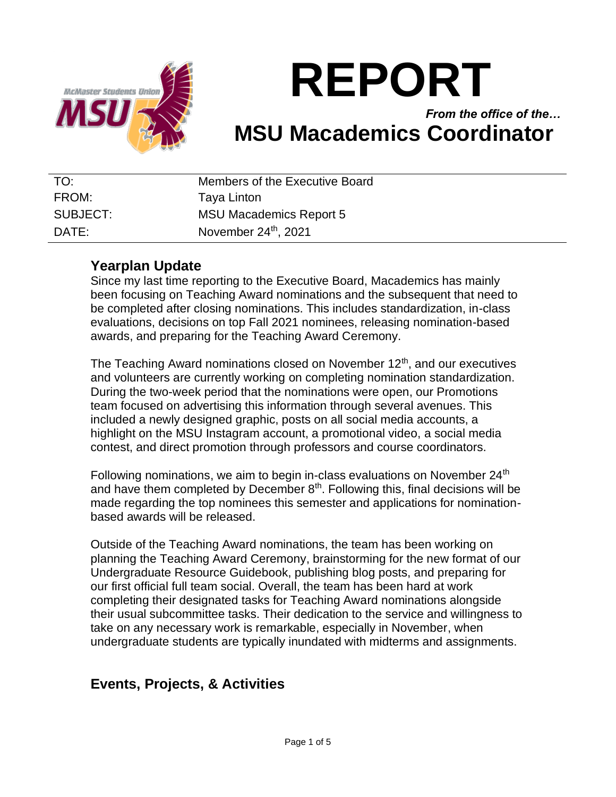

# **REPORT**

## *From the office of the…* **MSU Macademics Coordinator**

| TO:               | Members of the Executive Board   |
|-------------------|----------------------------------|
| FROM:             | Taya Linton                      |
| SUBJECT:          | <b>MSU Macademics Report 5</b>   |
| $\mathsf{DATF}$ : | November 24 <sup>th</sup> , 2021 |

## **Yearplan Update**

Since my last time reporting to the Executive Board, Macademics has mainly been focusing on Teaching Award nominations and the subsequent that need to be completed after closing nominations. This includes standardization, in-class evaluations, decisions on top Fall 2021 nominees, releasing nomination-based awards, and preparing for the Teaching Award Ceremony.

The Teaching Award nominations closed on November  $12<sup>th</sup>$ , and our executives and volunteers are currently working on completing nomination standardization. During the two-week period that the nominations were open, our Promotions team focused on advertising this information through several avenues. This included a newly designed graphic, posts on all social media accounts, a highlight on the MSU Instagram account, a promotional video, a social media contest, and direct promotion through professors and course coordinators.

Following nominations, we aim to begin in-class evaluations on November 24<sup>th</sup> and have them completed by December  $8<sup>th</sup>$ . Following this, final decisions will be made regarding the top nominees this semester and applications for nominationbased awards will be released.

Outside of the Teaching Award nominations, the team has been working on planning the Teaching Award Ceremony, brainstorming for the new format of our Undergraduate Resource Guidebook, publishing blog posts, and preparing for our first official full team social. Overall, the team has been hard at work completing their designated tasks for Teaching Award nominations alongside their usual subcommittee tasks. Their dedication to the service and willingness to take on any necessary work is remarkable, especially in November, when undergraduate students are typically inundated with midterms and assignments.

## **Events, Projects, & Activities**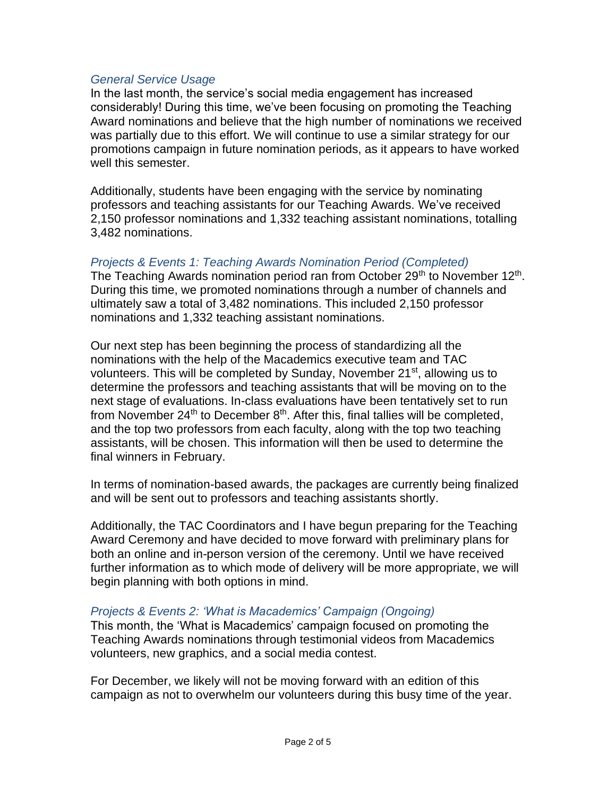#### *General Service Usage*

In the last month, the service's social media engagement has increased considerably! During this time, we've been focusing on promoting the Teaching Award nominations and believe that the high number of nominations we received was partially due to this effort. We will continue to use a similar strategy for our promotions campaign in future nomination periods, as it appears to have worked well this semester.

Additionally, students have been engaging with the service by nominating professors and teaching assistants for our Teaching Awards. We've received 2,150 professor nominations and 1,332 teaching assistant nominations, totalling 3,482 nominations.

#### *Projects & Events 1: Teaching Awards Nomination Period (Completed)*

The Teaching Awards nomination period ran from October 29<sup>th</sup> to November 12<sup>th</sup>. During this time, we promoted nominations through a number of channels and ultimately saw a total of 3,482 nominations. This included 2,150 professor nominations and 1,332 teaching assistant nominations.

Our next step has been beginning the process of standardizing all the nominations with the help of the Macademics executive team and TAC volunteers. This will be completed by Sunday, November 21<sup>st</sup>, allowing us to determine the professors and teaching assistants that will be moving on to the next stage of evaluations. In-class evaluations have been tentatively set to run from November  $24<sup>th</sup>$  to December  $8<sup>th</sup>$ . After this, final tallies will be completed, and the top two professors from each faculty, along with the top two teaching assistants, will be chosen. This information will then be used to determine the final winners in February.

In terms of nomination-based awards, the packages are currently being finalized and will be sent out to professors and teaching assistants shortly.

Additionally, the TAC Coordinators and I have begun preparing for the Teaching Award Ceremony and have decided to move forward with preliminary plans for both an online and in-person version of the ceremony. Until we have received further information as to which mode of delivery will be more appropriate, we will begin planning with both options in mind.

#### *Projects & Events 2: 'What is Macademics' Campaign (Ongoing)*

This month, the 'What is Macademics' campaign focused on promoting the Teaching Awards nominations through testimonial videos from Macademics volunteers, new graphics, and a social media contest.

For December, we likely will not be moving forward with an edition of this campaign as not to overwhelm our volunteers during this busy time of the year.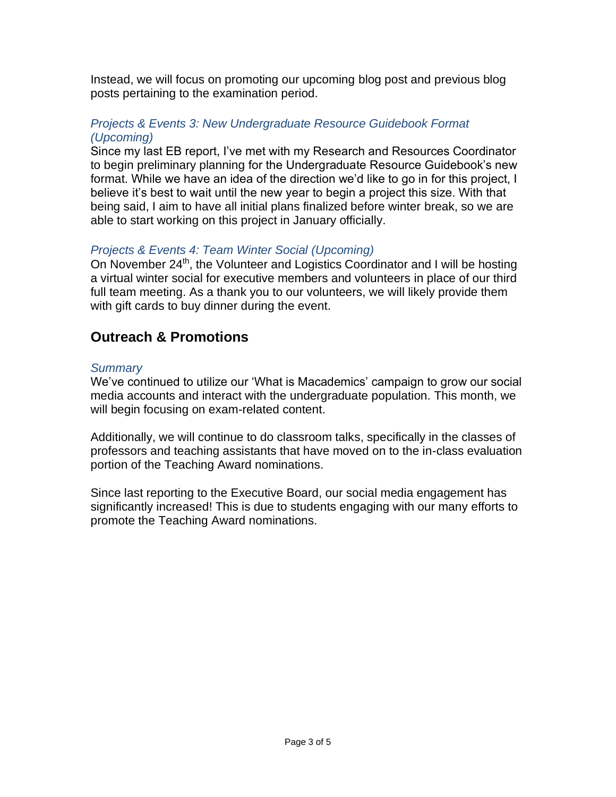Instead, we will focus on promoting our upcoming blog post and previous blog posts pertaining to the examination period.

#### *Projects & Events 3: New Undergraduate Resource Guidebook Format (Upcoming)*

Since my last EB report, I've met with my Research and Resources Coordinator to begin preliminary planning for the Undergraduate Resource Guidebook's new format. While we have an idea of the direction we'd like to go in for this project, I believe it's best to wait until the new year to begin a project this size. With that being said, I aim to have all initial plans finalized before winter break, so we are able to start working on this project in January officially.

#### *Projects & Events 4: Team Winter Social (Upcoming)*

On November 24<sup>th</sup>, the Volunteer and Logistics Coordinator and I will be hosting a virtual winter social for executive members and volunteers in place of our third full team meeting. As a thank you to our volunteers, we will likely provide them with gift cards to buy dinner during the event.

## **Outreach & Promotions**

#### *Summary*

We've continued to utilize our 'What is Macademics' campaign to grow our social media accounts and interact with the undergraduate population. This month, we will begin focusing on exam-related content.

Additionally, we will continue to do classroom talks, specifically in the classes of professors and teaching assistants that have moved on to the in-class evaluation portion of the Teaching Award nominations.

Since last reporting to the Executive Board, our social media engagement has significantly increased! This is due to students engaging with our many efforts to promote the Teaching Award nominations.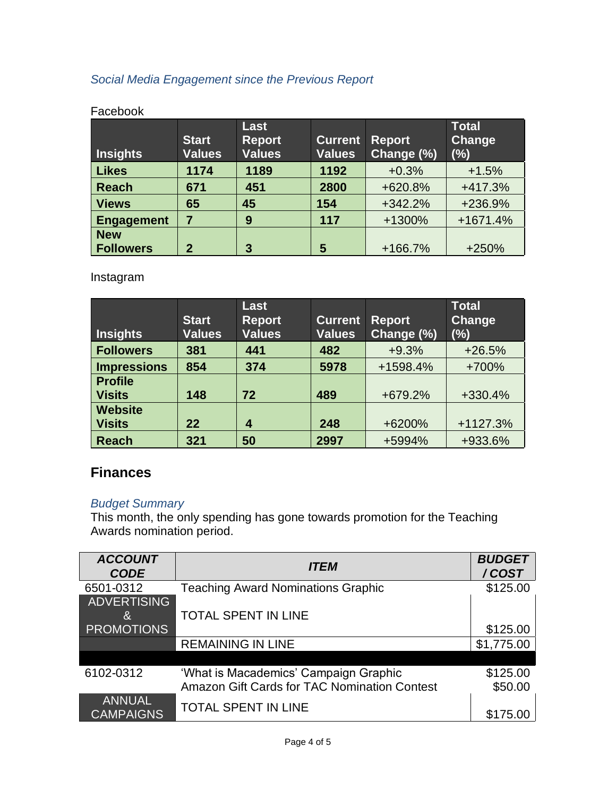## *Social Media Engagement since the Previous Report*

| <b>Insights</b>   | <b>Start</b><br><b>Values</b> | Last<br><b>Report</b><br><b>Values</b> | <b>Current</b><br><b>Values</b> | <b>Report</b><br>Change (%) | <b>Total</b><br>Change<br>(%) |
|-------------------|-------------------------------|----------------------------------------|---------------------------------|-----------------------------|-------------------------------|
| <b>Likes</b>      | 1174                          | 1189                                   | 1192                            | $+0.3%$                     | $+1.5%$                       |
| <b>Reach</b>      | 671                           | 451                                    | 2800                            | +620.8%                     | +417.3%                       |
| <b>Views</b>      | 65                            | 45                                     | 154                             | $+342.2%$                   | +236.9%                       |
| <b>Engagement</b> | 7                             | 9                                      | 117                             | +1300%                      | +1671.4%                      |
| <b>New</b>        |                               |                                        |                                 |                             |                               |
| <b>Followers</b>  | 2                             | 3                                      | 5                               | $+166.7%$                   | +250%                         |

#### Facebook

Instagram

| <b>Insights</b>                 | <b>Start</b><br><b>Values</b> | Last<br><b>Report</b><br><b>Values</b> | <b>Current</b><br><b>Values</b> | <b>Report</b><br>Change (%) | <b>Total</b><br>Change<br>(%) |
|---------------------------------|-------------------------------|----------------------------------------|---------------------------------|-----------------------------|-------------------------------|
| <b>Followers</b>                | 381                           | 441                                    | 482                             | $+9.3%$                     | $+26.5%$                      |
| <b>Impressions</b>              | 854                           | 374                                    | 5978                            | +1598.4%                    | +700%                         |
| <b>Profile</b><br><b>Visits</b> | 148                           | 72                                     | 489                             | +679.2%                     | +330.4%                       |
| <b>Website</b>                  |                               |                                        |                                 |                             |                               |
| <b>Visits</b>                   | 22                            | 4                                      | 248                             | +6200%                      | +1127.3%                      |
| <b>Reach</b>                    | 321                           | 50                                     | 2997                            | +5994%                      | +933.6%                       |

## **Finances**

#### *Budget Summary*

This month, the only spending has gone towards promotion for the Teaching Awards nomination period.

| <b>ACCOUNT</b><br><b>CODE</b> | <b>ITEM</b>                                  | <b>BUDGET</b><br>/COST |
|-------------------------------|----------------------------------------------|------------------------|
| 6501-0312                     | <b>Teaching Award Nominations Graphic</b>    | \$125.00               |
| ADVERTISING                   |                                              |                        |
| 8.                            | <b>TOTAL SPENT IN LINE</b>                   |                        |
| <b>PROMOTIONS</b>             |                                              | \$125.00               |
|                               | <b>REMAINING IN LINE</b>                     | \$1,775.00             |
|                               |                                              |                        |
| 6102-0312                     | 'What is Macademics' Campaign Graphic        | \$125.00               |
|                               | Amazon Gift Cards for TAC Nomination Contest | \$50.00                |
| <b>ANNUAL</b>                 | <b>TOTAL SPENT IN LINE</b>                   |                        |
| <b>CAMPAIGNS</b>              |                                              | \$175.00               |